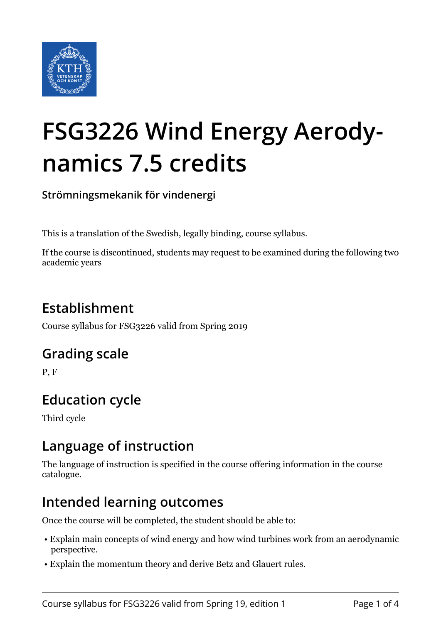

# **FSG3226 Wind Energy Aerodynamics 7.5 credits**

**Strömningsmekanik för vindenergi**

This is a translation of the Swedish, legally binding, course syllabus.

If the course is discontinued, students may request to be examined during the following two academic years

# **Establishment**

Course syllabus for FSG3226 valid from Spring 2019

#### **Grading scale**

P, F

# **Education cycle**

Third cycle

#### **Language of instruction**

The language of instruction is specified in the course offering information in the course catalogue.

#### **Intended learning outcomes**

Once the course will be completed, the student should be able to:

- Explain main concepts of wind energy and how wind turbines work from an aerodynamic perspective.
- Explain the momentum theory and derive Betz and Glauert rules.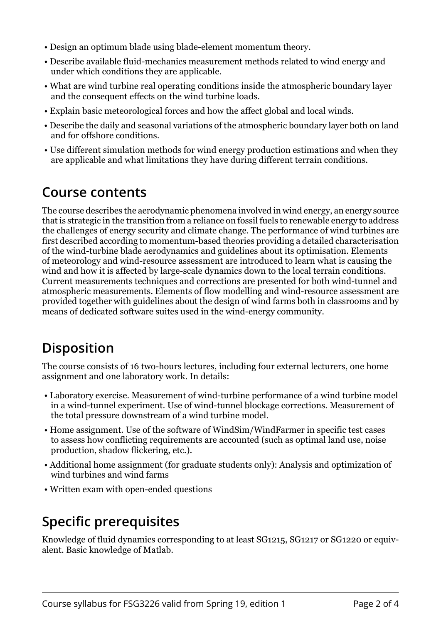- Design an optimum blade using blade-element momentum theory.
- Describe available fluid-mechanics measurement methods related to wind energy and under which conditions they are applicable.
- What are wind turbine real operating conditions inside the atmospheric boundary layer and the consequent effects on the wind turbine loads.
- Explain basic meteorological forces and how the affect global and local winds.
- Describe the daily and seasonal variations of the atmospheric boundary layer both on land and for offshore conditions.
- Use different simulation methods for wind energy production estimations and when they are applicable and what limitations they have during different terrain conditions.

#### **Course contents**

The course describes the aerodynamic phenomena involved in wind energy, an energy source that is strategic in the transition from a reliance on fossil fuels to renewable energy to address the challenges of energy security and climate change. The performance of wind turbines are first described according to momentum-based theories providing a detailed characterisation of the wind-turbine blade aerodynamics and guidelines about its optimisation. Elements of meteorology and wind-resource assessment are introduced to learn what is causing the wind and how it is affected by large-scale dynamics down to the local terrain conditions. Current measurements techniques and corrections are presented for both wind-tunnel and atmospheric measurements. Elements of flow modelling and wind-resource assessment are provided together with guidelines about the design of wind farms both in classrooms and by means of dedicated software suites used in the wind-energy community.

# **Disposition**

The course consists of 16 two-hours lectures, including four external lecturers, one home assignment and one laboratory work. In details:

- Laboratory exercise. Measurement of wind-turbine performance of a wind turbine model in a wind-tunnel experiment. Use of wind-tunnel blockage corrections. Measurement of the total pressure downstream of a wind turbine model.
- Home assignment. Use of the software of WindSim/WindFarmer in specific test cases to assess how conflicting requirements are accounted (such as optimal land use, noise production, shadow flickering, etc.).
- Additional home assignment (for graduate students only): Analysis and optimization of wind turbines and wind farms
- Written exam with open-ended questions

# **Specific prerequisites**

Knowledge of fluid dynamics corresponding to at least SG1215, SG1217 or SG1220 or equivalent. Basic knowledge of Matlab.